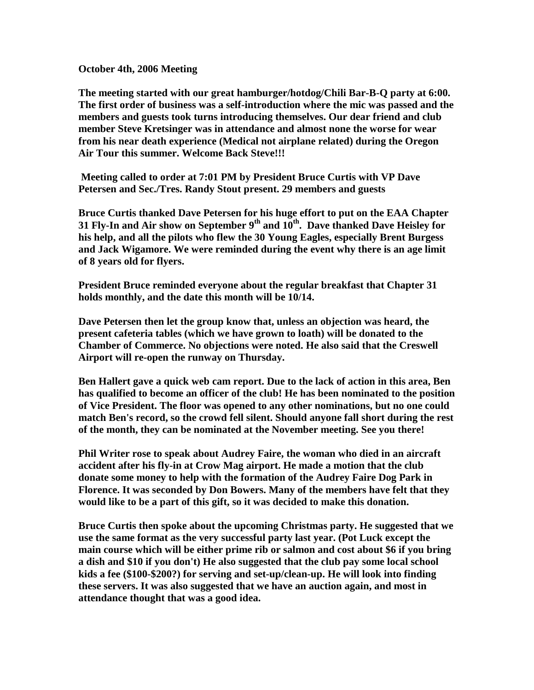**October 4th, 2006 Meeting**

**The meeting started with our great hamburger/hotdog/Chili Bar-B-Q party at 6:00. The first order of business was a self-introduction where the mic was passed and the members and guests took turns introducing themselves. Our dear friend and club member Steve Kretsinger was in attendance and almost none the worse for wear from his near death experience (Medical not airplane related) during the Oregon Air Tour this summer. Welcome Back Steve!!!**

 **Meeting called to order at 7:01 PM by President Bruce Curtis with VP Dave Petersen and Sec./Tres. Randy Stout present. 29 members and guests**

**Bruce Curtis thanked Dave Petersen for his huge effort to put on the EAA Chapter 31 Fly-In and Air show on September 9th and 10th. Dave thanked Dave Heisley for his help, and all the pilots who flew the 30 Young Eagles, especially Brent Burgess and Jack Wigamore. We were reminded during the event why there is an age limit of 8 years old for flyers.**

**President Bruce reminded everyone about the regular breakfast that Chapter 31 holds monthly, and the date this month will be 10/14.**

**Dave Petersen then let the group know that, unless an objection was heard, the present cafeteria tables (which we have grown to loath) will be donated to the Chamber of Commerce. No objections were noted. He also said that the Creswell Airport will re-open the runway on Thursday.**

**Ben Hallert gave a quick web cam report. Due to the lack of action in this area, Ben has qualified to become an officer of the club! He has been nominated to the position of Vice President. The floor was opened to any other nominations, but no one could match Ben's record, so the crowd fell silent. Should anyone fall short during the rest of the month, they can be nominated at the November meeting. See you there!**

**Phil Writer rose to speak about Audrey Faire, the woman who died in an aircraft accident after his fly-in at Crow Mag airport. He made a motion that the club donate some money to help with the formation of the Audrey Faire Dog Park in Florence. It was seconded by Don Bowers. Many of the members have felt that they would like to be a part of this gift, so it was decided to make this donation.**

**Bruce Curtis then spoke about the upcoming Christmas party. He suggested that we use the same format as the very successful party last year. (Pot Luck except the main course which will be either prime rib or salmon and cost about \$6 if you bring a dish and \$10 if you don't) He also suggested that the club pay some local school kids a fee (\$100-\$200?) for serving and set-up/clean-up. He will look into finding these servers. It was also suggested that we have an auction again, and most in attendance thought that was a good idea.**